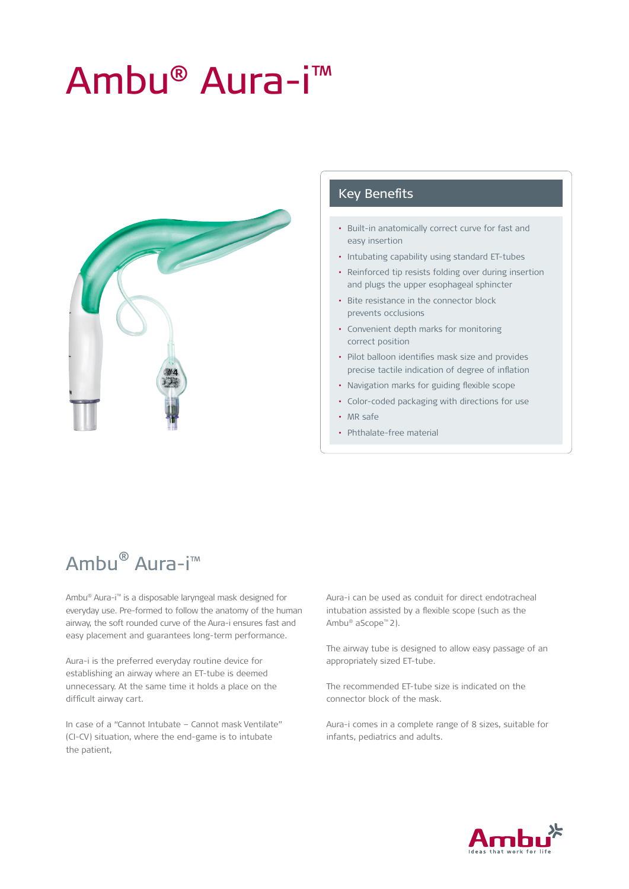# Ambu® Aura-i™



#### Key Benefits

- Built-in anatomically correct curve for fast and easy insertion
- Intubating capability using standard ET-tubes
- Reinforced tip resists folding over during insertion and plugs the upper esophageal sphincter
- Bite resistance in the connector block prevents occlusions
- Convenient depth marks for monitoring correct position
- Pilot balloon identifies mask size and provides precise tactile indication of degree of inflation
- Navigation marks for guiding flexible scope
- Color-coded packaging with directions for use
- MR safe
- Phthalate-free material

## Ambu® Aura-i™

Ambu® Aura-i™ is a disposable laryngeal mask designed for everyday use. Pre-formed to follow the anatomy of the human airway, the soft rounded curve of the Aura-i ensures fast and easy placement and guarantees long-term performance.

Aura-i is the preferred everyday routine device for establishing an airway where an ET-tube is deemed unnecessary. At the same time it holds a place on the difficult airway cart.

In case of a "Cannot Intubate – Cannot mask Ventilate" (CI-CV) situation, where the end-game is to intubate the patient,

Aura-i can be used as conduit for direct endotracheal intubation assisted by a flexible scope (such as the Ambu® aScope™ 2).

The airway tube is designed to allow easy passage of an appropriately sized ET-tube.

The recommended ET-tube size is indicated on the connector block of the mask.

Aura-i comes in a complete range of 8 sizes, suitable for infants, pediatrics and adults.